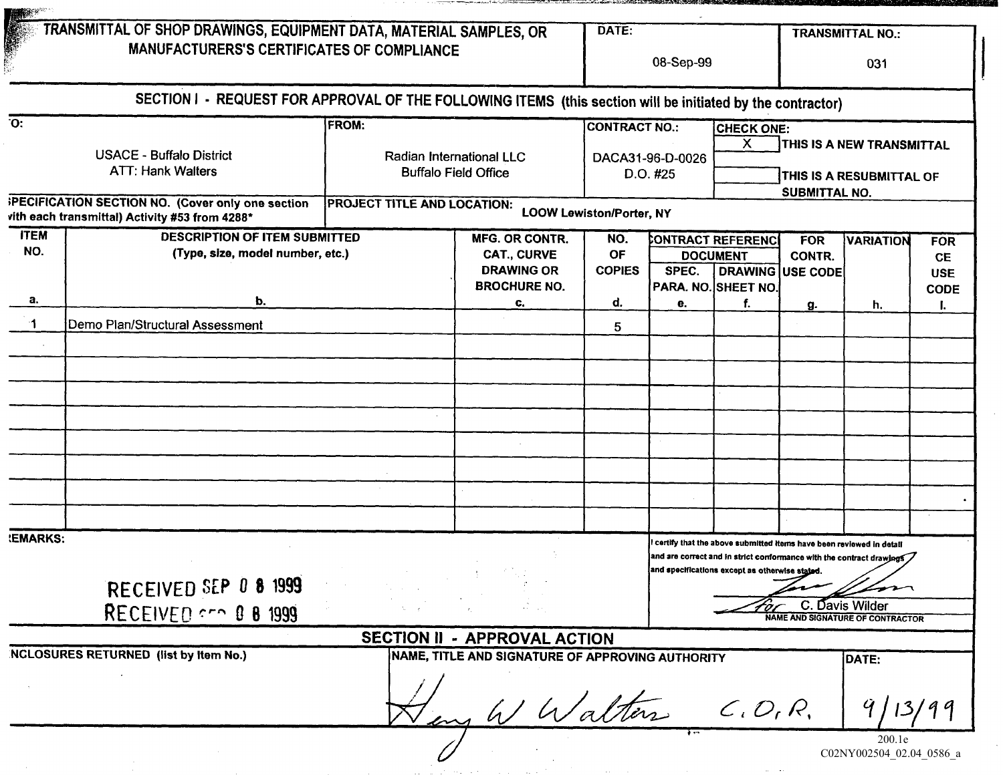|                                                             | TRANSMITTAL OF SHOP DRAWINGS, EQUIPMENT DATA, MATERIAL SAMPLES, OR                                         |                                                         |                                                                     | DATE:                             |       |                                                                                                                      |                                          | <b>TRANSMITTAL NO.:</b>                                              |                                       |  |  |
|-------------------------------------------------------------|------------------------------------------------------------------------------------------------------------|---------------------------------------------------------|---------------------------------------------------------------------|-----------------------------------|-------|----------------------------------------------------------------------------------------------------------------------|------------------------------------------|----------------------------------------------------------------------|---------------------------------------|--|--|
|                                                             | <b>MANUFACTURERS'S CERTIFICATES OF COMPLIANCE</b>                                                          |                                                         |                                                                     |                                   |       | 08-Sep-99                                                                                                            |                                          |                                                                      | 031                                   |  |  |
|                                                             | SECTION I - REQUEST FOR APPROVAL OF THE FOLLOWING ITEMS (this section will be initiated by the contractor) |                                                         |                                                                     |                                   |       |                                                                                                                      |                                          |                                                                      |                                       |  |  |
| $\overline{O}$ :                                            |                                                                                                            | <b>FROM:</b>                                            |                                                                     | <b>CONTRACT NO.:</b>              |       | <b>CHECK ONE:</b><br>$\mathsf{x}$                                                                                    |                                          | THIS IS A NEW TRANSMITTAL                                            |                                       |  |  |
| <b>USACE - Buffalo District</b><br><b>ATT: Hank Walters</b> |                                                                                                            | Radian International LLC<br><b>Buffalo Field Office</b> |                                                                     | DACA31-96-D-0026<br>D.O. #25      |       | THIS IS A RESUBMITTAL OF                                                                                             |                                          |                                                                      |                                       |  |  |
|                                                             | <b>PECIFICATION SECTION NO. (Cover only one section</b><br>vith each transmittal) Activity #53 from 4288*  | PROJECT TITLE AND LOCATION:                             |                                                                     | <b>LOOW Lewiston/Porter, NY</b>   |       |                                                                                                                      | SUBMITTAL NO.                            |                                                                      |                                       |  |  |
| <b>ITEM</b><br>NO.                                          | <b>DESCRIPTION OF ITEM SUBMITTED</b><br>(Type, size, model number, etc.)                                   |                                                         | <b>MFG. OR CONTR.</b><br><b>CAT., CURVE</b><br><b>DRAWING OR</b>    | NO.<br><b>OF</b><br><b>COPIES</b> | SPEC. | CONTRACT REFERENCI<br><b>DOCUMENT</b>                                                                                | <b>FOR</b><br>CONTR.<br>DRAWING USE CODE | <b>VARIATION</b>                                                     | <b>FOR</b><br><b>CE</b><br><b>USE</b> |  |  |
| a.                                                          | b.                                                                                                         |                                                         | <b>BROCHURE NO.</b><br>c.                                           | d.                                | е.    | PARA. NO. SHEET NO.<br>f.                                                                                            |                                          | h.                                                                   | <b>CODE</b>                           |  |  |
| ำ1                                                          | Demo Plan/Structural Assessment                                                                            |                                                         |                                                                     | 5                                 |       |                                                                                                                      | g.                                       |                                                                      |                                       |  |  |
|                                                             |                                                                                                            |                                                         |                                                                     |                                   |       |                                                                                                                      |                                          |                                                                      |                                       |  |  |
|                                                             |                                                                                                            |                                                         |                                                                     |                                   |       |                                                                                                                      |                                          |                                                                      |                                       |  |  |
|                                                             |                                                                                                            |                                                         |                                                                     |                                   |       |                                                                                                                      |                                          |                                                                      |                                       |  |  |
|                                                             |                                                                                                            |                                                         |                                                                     |                                   |       |                                                                                                                      |                                          |                                                                      |                                       |  |  |
|                                                             |                                                                                                            |                                                         |                                                                     |                                   |       |                                                                                                                      |                                          |                                                                      |                                       |  |  |
|                                                             |                                                                                                            |                                                         |                                                                     |                                   |       |                                                                                                                      |                                          |                                                                      |                                       |  |  |
| <b>!EMARKS:</b>                                             |                                                                                                            |                                                         |                                                                     |                                   |       | certify that the above submitted items have been reviewed in detail<br>and specifications except as otherwise stated |                                          | and are correct and in strict conformance with the contract drawings |                                       |  |  |
|                                                             | RECEIVED SEP 0 8 1999<br>RECEIVED $\sim$ 0 8 1999                                                          |                                                         |                                                                     |                                   |       |                                                                                                                      |                                          | C. Davis Wilder<br><b>NAME AND SIGNATURE OF CONTRACTOR</b>           |                                       |  |  |
|                                                             |                                                                                                            |                                                         | SECTION II - APPROVAL ACTION                                        |                                   |       |                                                                                                                      |                                          |                                                                      |                                       |  |  |
|                                                             | <b>NCLOSURES RETURNED</b> (list by Item No.)                                                               |                                                         | NAME, TITLE AND SIGNATURE OF APPROVING AUTHORITY<br>WWalters C.O.R. |                                   |       |                                                                                                                      |                                          | DATE:                                                                |                                       |  |  |
|                                                             |                                                                                                            |                                                         |                                                                     |                                   |       |                                                                                                                      |                                          | 200.1e<br>C02NY002504_02.04_0586_a                                   |                                       |  |  |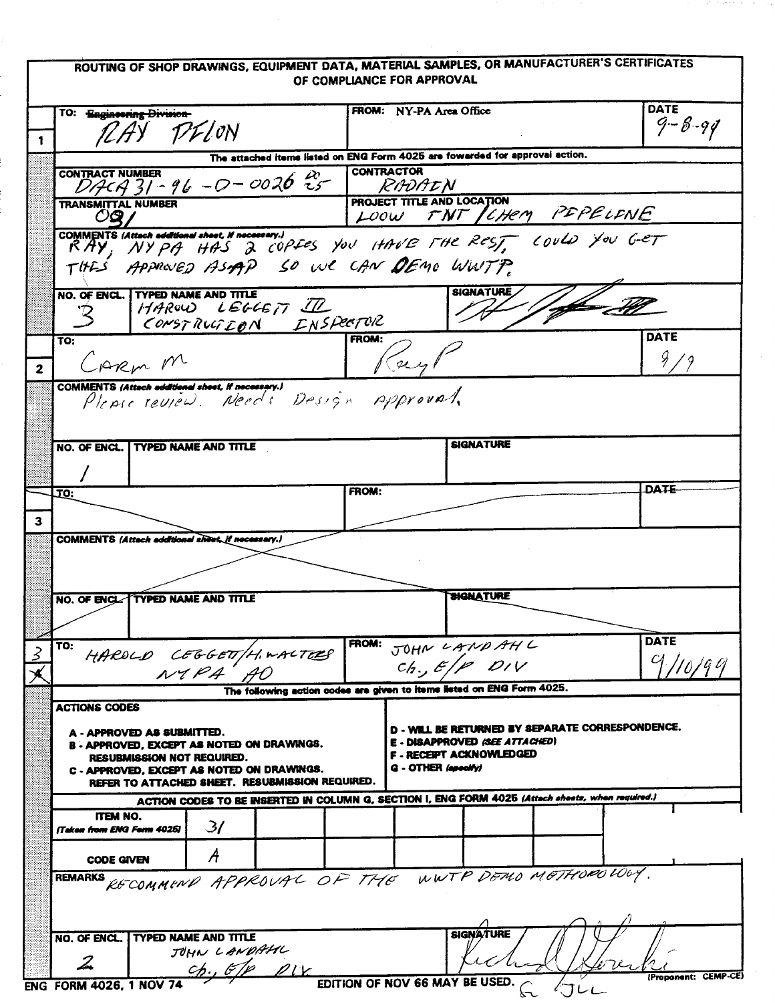# ROUTING OF SHOP DRAWINGS, EQUIPMENT DATA, MATERIAL SAMPLES, OR MANUFACTURER'S CERTIFICATES OF COMPLIANCE FOR APPROVAL

ger anno e

|                                                                                                                                                           | TO: Engineering Division                                                     |                                                                                                   |                             | <b>FROM:</b> NY-PA Area Office                                         | DATE                 |  |  |  |  |  |
|-----------------------------------------------------------------------------------------------------------------------------------------------------------|------------------------------------------------------------------------------|---------------------------------------------------------------------------------------------------|-----------------------------|------------------------------------------------------------------------|----------------------|--|--|--|--|--|
|                                                                                                                                                           |                                                                              | RAY PELON                                                                                         |                             |                                                                        | $9 - 8 - 94$         |  |  |  |  |  |
| 1                                                                                                                                                         |                                                                              |                                                                                                   |                             |                                                                        |                      |  |  |  |  |  |
|                                                                                                                                                           | The attached items listed on ENG Form 4025 are fowarded for approval action. |                                                                                                   |                             |                                                                        |                      |  |  |  |  |  |
|                                                                                                                                                           | <b>CONTRACT NUMBER</b>                                                       | $D44731 - 96 - 0 - 0026$                                                                          | <b>CONTRACTOR</b><br>RADAIN |                                                                        |                      |  |  |  |  |  |
|                                                                                                                                                           | <b>TRANSMITTAL NUMBER</b><br>OQ                                              |                                                                                                   |                             | PROJECT TITLE AND LOCATION<br>LOOW TNT/CHEM PEPELENE                   |                      |  |  |  |  |  |
|                                                                                                                                                           |                                                                              |                                                                                                   |                             |                                                                        |                      |  |  |  |  |  |
| COMMENTS (Attach additional shost, If necessary.)<br>RAY, NYPA HAS 2 COPFES YOU HAVE THE REST, COULD YOU GET<br>THE'S APPROVED ASIAP SO WE CAN DEMO WWTP. |                                                                              |                                                                                                   |                             |                                                                        |                      |  |  |  |  |  |
|                                                                                                                                                           |                                                                              | NO. OF ENCL. TYPED NAME AND TITLE                                                                 |                             | SIGNATURE                                                              |                      |  |  |  |  |  |
|                                                                                                                                                           | $\mathcal{B}$                                                                | HAROW LEGGETT ILL CONSTRUCTOR                                                                     |                             |                                                                        |                      |  |  |  |  |  |
|                                                                                                                                                           | TO:                                                                          |                                                                                                   | FROM:                       |                                                                        | DATE                 |  |  |  |  |  |
| $\overline{\mathbf{2}}$                                                                                                                                   |                                                                              | CARM M                                                                                            |                             |                                                                        | $\frac{9}{7}$        |  |  |  |  |  |
|                                                                                                                                                           |                                                                              | COMMENTS (Attach additional sheet, if necessary.)                                                 |                             |                                                                        |                      |  |  |  |  |  |
|                                                                                                                                                           |                                                                              | Please review. Needs Design Approval.                                                             |                             |                                                                        |                      |  |  |  |  |  |
|                                                                                                                                                           |                                                                              |                                                                                                   |                             |                                                                        |                      |  |  |  |  |  |
|                                                                                                                                                           |                                                                              | NO. OF ENCL. I TYPED NAME AND TITLE                                                               |                             | <b>SIGNATURE</b>                                                       |                      |  |  |  |  |  |
|                                                                                                                                                           |                                                                              |                                                                                                   |                             |                                                                        |                      |  |  |  |  |  |
|                                                                                                                                                           |                                                                              |                                                                                                   |                             |                                                                        |                      |  |  |  |  |  |
|                                                                                                                                                           | .TO:                                                                         |                                                                                                   | FROM:                       |                                                                        | <b>DATE</b>          |  |  |  |  |  |
|                                                                                                                                                           |                                                                              |                                                                                                   |                             |                                                                        |                      |  |  |  |  |  |
| 3                                                                                                                                                         |                                                                              |                                                                                                   |                             |                                                                        |                      |  |  |  |  |  |
|                                                                                                                                                           |                                                                              | COMMENTS (Attach additional share, if necessary.)                                                 |                             |                                                                        |                      |  |  |  |  |  |
|                                                                                                                                                           |                                                                              |                                                                                                   |                             |                                                                        |                      |  |  |  |  |  |
|                                                                                                                                                           |                                                                              |                                                                                                   |                             |                                                                        |                      |  |  |  |  |  |
|                                                                                                                                                           |                                                                              | NO. OF ENCL: TYPED NAME AND TITLE                                                                 |                             | <b>SIGNATURE</b>                                                       |                      |  |  |  |  |  |
|                                                                                                                                                           |                                                                              |                                                                                                   |                             |                                                                        |                      |  |  |  |  |  |
|                                                                                                                                                           |                                                                              |                                                                                                   |                             |                                                                        | <b>DATE</b>          |  |  |  |  |  |
| 2                                                                                                                                                         | TO:                                                                          | HAROLD CEGGETT/H.WALTERS FROM: JOHN LAND AHL                                                      |                             |                                                                        | $C_{\ell}$ $L$       |  |  |  |  |  |
|                                                                                                                                                           |                                                                              | N1PA                                                                                              |                             | $ch$ , E/P DIV                                                         |                      |  |  |  |  |  |
|                                                                                                                                                           |                                                                              |                                                                                                   |                             | The following action codes are given to items listed on ENG Form 4025. |                      |  |  |  |  |  |
|                                                                                                                                                           | <b>ACTIONS CODES</b>                                                         |                                                                                                   |                             |                                                                        |                      |  |  |  |  |  |
|                                                                                                                                                           |                                                                              |                                                                                                   |                             | D - WILL BE RETURNED BY SEPARATE CORRESPONDENCE.                       |                      |  |  |  |  |  |
|                                                                                                                                                           |                                                                              | A - APPROVED AS SUBMITTED.<br><b>B-APPROVED, EXCEPT AS NOTED ON DRAWINGS.</b>                     |                             | E - DISAPPROVED (SEE ATTACHED)                                         |                      |  |  |  |  |  |
|                                                                                                                                                           |                                                                              | RESUBMISSION NOT REQUIRED.                                                                        |                             | <b>F - RECEPT ACKNOWLEDGED</b>                                         |                      |  |  |  |  |  |
|                                                                                                                                                           |                                                                              | C - APPROVED, EXCEPT AS NOTED ON DRAWINGS.                                                        |                             | G - OTHER (specify)                                                    |                      |  |  |  |  |  |
|                                                                                                                                                           |                                                                              | REFER TO ATTACHED SHEET. RESUBMISSION REQUIRED.                                                   |                             |                                                                        |                      |  |  |  |  |  |
|                                                                                                                                                           |                                                                              | ACTION CODES TO BE INSERTED IN COLUMN G, SECTION I, ENG FORM 4025 (Attach sheets, when required.) |                             |                                                                        |                      |  |  |  |  |  |
|                                                                                                                                                           | ITEM NO.<br><b>Taken from ENG Ferm 4025)</b>                                 | $\mathcal{Z}$                                                                                     |                             |                                                                        |                      |  |  |  |  |  |
|                                                                                                                                                           |                                                                              |                                                                                                   |                             |                                                                        |                      |  |  |  |  |  |
|                                                                                                                                                           | <b>CODE GIVEN</b>                                                            | A                                                                                                 |                             |                                                                        |                      |  |  |  |  |  |
|                                                                                                                                                           | <b>REMARKS</b>                                                               | RECOMMEND APPROVAL OF THE WWTP DEMO MOTHODO LOWY.                                                 |                             |                                                                        |                      |  |  |  |  |  |
|                                                                                                                                                           |                                                                              |                                                                                                   |                             |                                                                        |                      |  |  |  |  |  |
|                                                                                                                                                           |                                                                              |                                                                                                   |                             |                                                                        |                      |  |  |  |  |  |
|                                                                                                                                                           |                                                                              |                                                                                                   |                             | <b>SIGNATURE</b>                                                       |                      |  |  |  |  |  |
|                                                                                                                                                           |                                                                              |                                                                                                   |                             |                                                                        |                      |  |  |  |  |  |
|                                                                                                                                                           | NO. OF ENCL.                                                                 | TYPED NAME AND TITLE                                                                              |                             |                                                                        |                      |  |  |  |  |  |
|                                                                                                                                                           | $\boldsymbol{\mathcal{Z}}$                                                   | JOHN LANDAHL                                                                                      |                             |                                                                        |                      |  |  |  |  |  |
|                                                                                                                                                           | ENG FORM 4026, 1 NOV 74                                                      | $ch.$ $6/p$ $p_{1k}$                                                                              |                             | EDITION OF NOV 66 MAY BE USED.                                         | (Proponent: CEMP-CE) |  |  |  |  |  |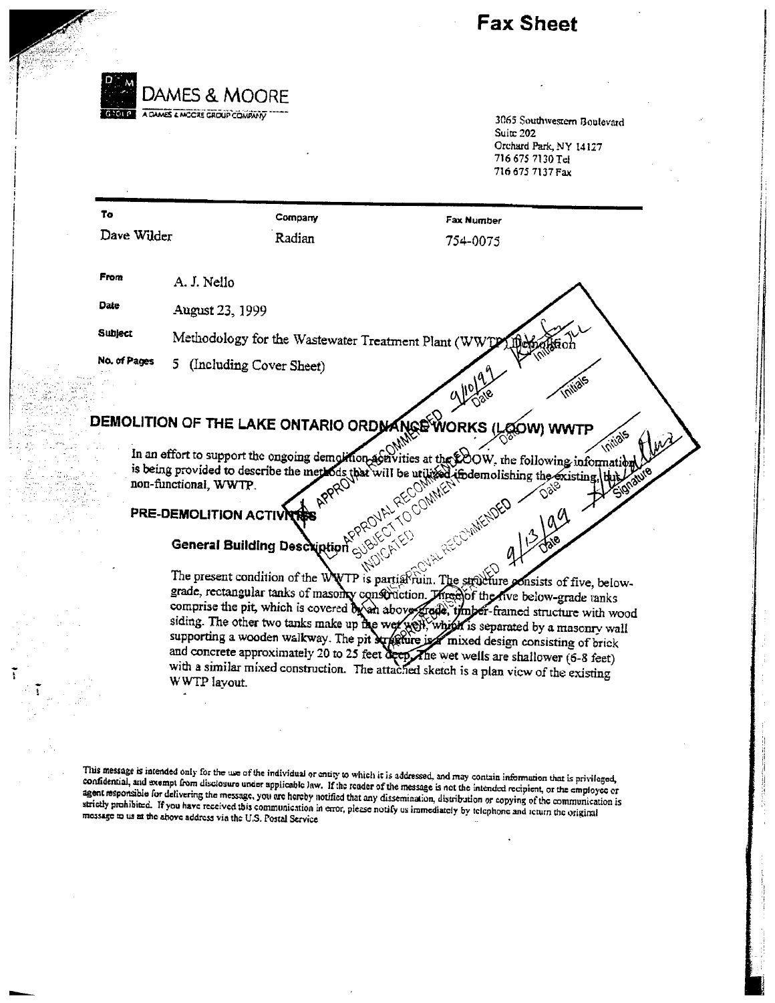Fax Sheet



3065 Southwestern Boulevard Suite 202 Orchard Park NY 14127 71667\$ 7130 Tel 716675 7137Fax

| To             |                           | Company | <b>Fax Number</b>                                               |  |
|----------------|---------------------------|---------|-----------------------------------------------------------------|--|
| Dave Wilder    |                           | Radian  | 754-0075                                                        |  |
| From           | A. J. Nello               |         |                                                                 |  |
| Date           | August 23, 1999           |         |                                                                 |  |
| <b>Subject</b> |                           |         | $\sim$<br>Methodology for the Wastewater Treatment Plant (WWTP) |  |
| No. of Pages   | 5 (Including Cover Sheet) |         | <b>All</b> e                                                    |  |

#### DEMOLITION OF THE LAKE ONTARIO ORD MA MORKS (LOOW) WWTP

In an effort to support the ongoing demoknon-activities at the EOOW, the following information is being provided to describe the non-functional, WWTJ

# PRE-DEMOLITION ACTIVI

# **General Building Description**

The present condition of the WWTP is partial ruin. The serveture grade, rectangular tanks of masonly construction. Minegot the five below-grade tank comprise the pit, which is covered by an above grade, timber-framed structure with wood siding. The other two tanks make up the wer well, which is separated by a masonry wall supporting a wooden walkway. The pit supporting a wooden walkway. The pit supporting consisting of brick and concrete approximately 20 to 25 feet  $\frac{1}{2}$  feet wet wells are shallower (6-8 feet) with a similar mixed construction. The attached sketch is a plan view of the existing WWTP layout. onsists of five, below-

This message is intended only for the use of the individual or entity to which it is addressed, and may contain information that is privileged, confidential, and exempt from disclosure under applicable law. If the reader o strictly prohibited. If you have received this communication in error, please notify us immediately by telephone and return the original message to us at the above address via the U.S. Postal Service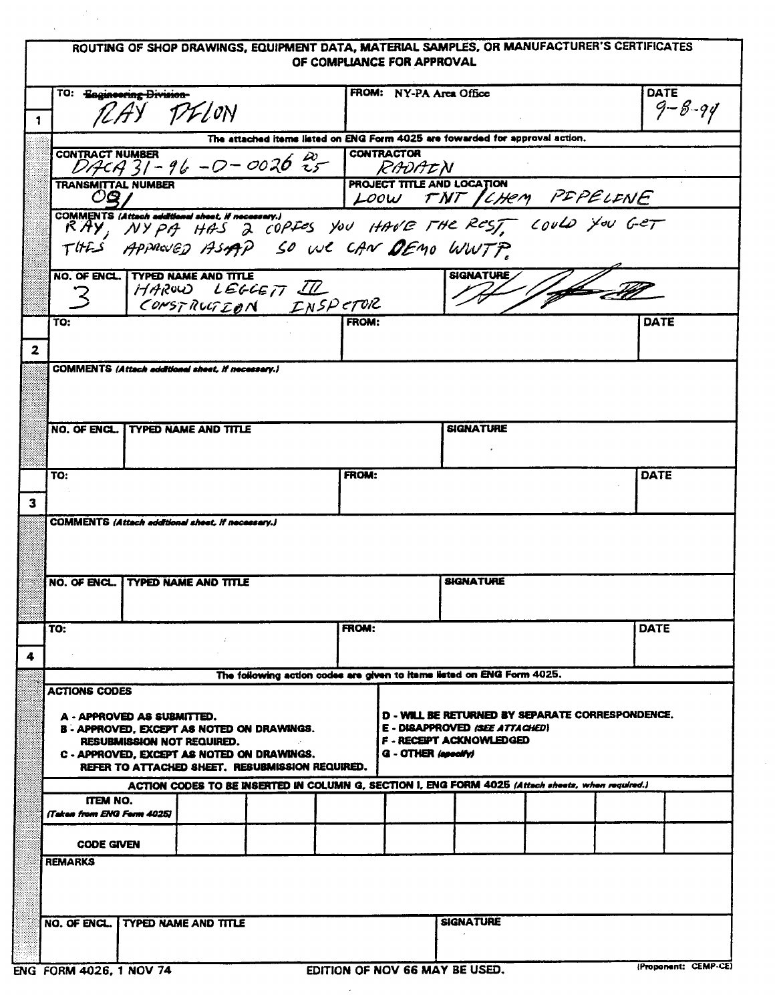# ROUTING OF SHOP DRAWINGS, EQUIPMENT DATA, MATERIAL SAMPLES, OR MANUFACTURER'S CERTIFICATES OF COMPLIANCE FOR APPROVAL

| $\mathbf{1}$   | TO: Baginesring Division-<br>PFLON                                                                                          |  |                                                                                                                                                                        |                                                                              | FROM: NY-PA Area Office |              |                                |                  |  |      | DATE<br>$9 - 8 - 94$                             |      |
|----------------|-----------------------------------------------------------------------------------------------------------------------------|--|------------------------------------------------------------------------------------------------------------------------------------------------------------------------|------------------------------------------------------------------------------|-------------------------|--------------|--------------------------------|------------------|--|------|--------------------------------------------------|------|
|                |                                                                                                                             |  |                                                                                                                                                                        | The attached items listed on ENG Form 4025 are fowarded for approval action. |                         |              |                                |                  |  |      |                                                  |      |
|                |                                                                                                                             |  |                                                                                                                                                                        |                                                                              |                         |              |                                |                  |  |      |                                                  |      |
|                | OQ /                                                                                                                        |  |                                                                                                                                                                        |                                                                              |                         |              |                                |                  |  |      | LOOW TNT CHEM PEPELENE                           |      |
|                |                                                                                                                             |  | COMMENTS (Attach additional sheet, if necessary.)<br>Simmers is instant <b>accreans shock in nocessary.</b><br>RAY, NYPA HAS 2 COPIES YOU HAVE THE REST, COULD YOU GET |                                                                              |                         |              |                                |                  |  |      |                                                  |      |
|                |                                                                                                                             |  | THES APPROVED ASAPP SO WE CAN DEMO WWTP                                                                                                                                |                                                                              |                         |              |                                |                  |  |      |                                                  |      |
|                | $\mathcal{Z}$                                                                                                               |  | NO. OF ENCL. TYPED NAME AND TITLE<br>HAROW LEGGETT I                                                                                                                   |                                                                              |                         |              |                                | <b>SIGNATURE</b> |  | 1 ff |                                                  |      |
|                | TO:                                                                                                                         |  | CONSTRUCTEDN INSPETOR                                                                                                                                                  |                                                                              |                         | <b>FROM:</b> |                                |                  |  |      |                                                  | DATE |
| $\overline{2}$ |                                                                                                                             |  |                                                                                                                                                                        |                                                                              |                         |              |                                |                  |  |      |                                                  |      |
|                |                                                                                                                             |  | COMMENTS (Attach additional sheet, if necessary.)                                                                                                                      |                                                                              |                         |              |                                |                  |  |      |                                                  |      |
|                |                                                                                                                             |  |                                                                                                                                                                        |                                                                              |                         |              |                                |                  |  |      |                                                  |      |
|                |                                                                                                                             |  | NO. OF ENCL. TYPED NAME AND TITLE                                                                                                                                      |                                                                              |                         |              |                                | <b>SIGNATURE</b> |  |      |                                                  |      |
|                |                                                                                                                             |  |                                                                                                                                                                        |                                                                              |                         |              |                                |                  |  |      |                                                  |      |
| $\mathbf{3}$   | TO:                                                                                                                         |  |                                                                                                                                                                        |                                                                              | <b>FROM:</b>            |              |                                |                  |  |      |                                                  | DATE |
|                | COMMENTS (Attach additional sheet, if necessary.)                                                                           |  |                                                                                                                                                                        |                                                                              |                         |              |                                |                  |  |      |                                                  |      |
|                |                                                                                                                             |  |                                                                                                                                                                        |                                                                              |                         |              |                                |                  |  |      |                                                  |      |
|                | NO. OF ENCL.                                                                                                                |  | <b>TYPED NAME AND TITLE</b>                                                                                                                                            |                                                                              |                         |              |                                | <b>SIGNATURE</b> |  |      |                                                  |      |
|                |                                                                                                                             |  |                                                                                                                                                                        |                                                                              |                         |              |                                |                  |  |      |                                                  |      |
|                | TO:                                                                                                                         |  |                                                                                                                                                                        |                                                                              | FROM:                   |              |                                |                  |  |      | DATE                                             |      |
| 4              |                                                                                                                             |  |                                                                                                                                                                        |                                                                              |                         |              |                                |                  |  |      |                                                  |      |
|                |                                                                                                                             |  |                                                                                                                                                                        | The following action codes are given to items listed on ENG Form 4025.       |                         |              |                                |                  |  |      |                                                  |      |
|                | <b>ACTIONS CODES</b>                                                                                                        |  |                                                                                                                                                                        |                                                                              |                         |              |                                |                  |  |      |                                                  |      |
|                | A - APPROVED AS SUBMITTED.                                                                                                  |  |                                                                                                                                                                        |                                                                              |                         |              | E - DISAPPROVED (SEE ATTACHED) |                  |  |      | D - WILL BE RETURNED BY SEPARATE CORRESPONDENCE. |      |
|                |                                                                                                                             |  | B - APPROVED, EXCEPT AS NOTED ON DRAWINGS.<br><b>RESUBMISSION NOT REQUIRED.</b>                                                                                        |                                                                              |                         |              | <b>F-RECEPT ACKNOWLEDGED</b>   |                  |  |      |                                                  |      |
|                | <b>G</b> - OTHER (apocity)<br>C - APPROVED, EXCEPT AS NOTED ON DRAWINGS.<br>REFER TO ATTACHED SHEET, RESUBMISSION REQUIRED. |  |                                                                                                                                                                        |                                                                              |                         |              |                                |                  |  |      |                                                  |      |
|                |                                                                                                                             |  | ACTION CODES TO BE INSERTED IN COLUMN G, SECTION I, ENG FORM 4025 (Attach sheets, when required.)                                                                      |                                                                              |                         |              |                                |                  |  |      |                                                  |      |
|                | ITEM NO.<br><b>Taken from ENG Ferm 40251</b>                                                                                |  |                                                                                                                                                                        |                                                                              |                         |              |                                |                  |  |      |                                                  |      |
|                | <b>CODE GIVEN</b>                                                                                                           |  |                                                                                                                                                                        |                                                                              |                         |              |                                |                  |  |      |                                                  |      |
|                | <b>REMARKS</b>                                                                                                              |  |                                                                                                                                                                        |                                                                              |                         |              |                                |                  |  |      |                                                  |      |
|                |                                                                                                                             |  |                                                                                                                                                                        |                                                                              |                         |              |                                |                  |  |      |                                                  |      |
|                | NO. OF ENCL. I TYPED NAME AND TITLE                                                                                         |  |                                                                                                                                                                        |                                                                              |                         |              |                                | <b>SIGNATURE</b> |  |      |                                                  |      |
|                |                                                                                                                             |  |                                                                                                                                                                        |                                                                              |                         |              |                                |                  |  |      |                                                  |      |
|                |                                                                                                                             |  |                                                                                                                                                                        |                                                                              |                         |              |                                |                  |  |      |                                                  |      |

 $\mathcal{P}_{\mathcal{A}}$ 

 $\lambda$ 

 $\bar{z}$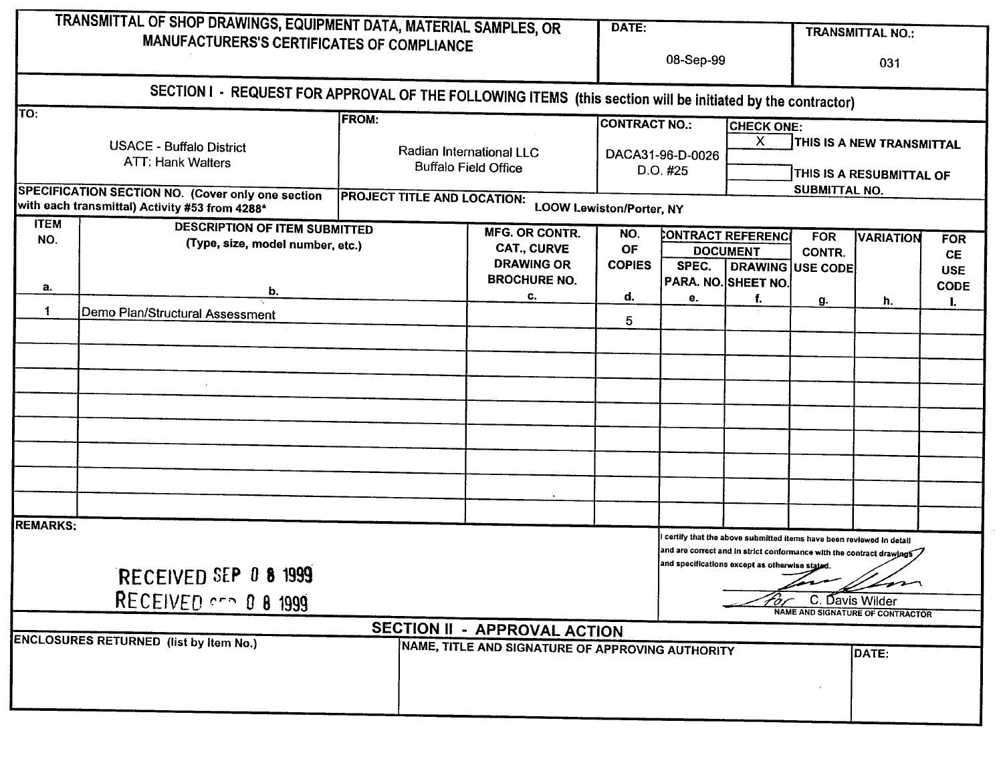|                    | TRANSMITTAL OF SHOP DRAWINGS, EQUIPMENT DATA, MATERIAL SAMPLES, OR                                         |                                                                         |                                                                  | DATE:                                                |           |                                                                     |                                                 | <b>TRANSMITTAL NO.:</b>                                                       |                                                      |
|--------------------|------------------------------------------------------------------------------------------------------------|-------------------------------------------------------------------------|------------------------------------------------------------------|------------------------------------------------------|-----------|---------------------------------------------------------------------|-------------------------------------------------|-------------------------------------------------------------------------------|------------------------------------------------------|
|                    | MANUFACTURERS'S CERTIFICATES OF COMPLIANCE                                                                 |                                                                         |                                                                  |                                                      | 08-Sep-99 |                                                                     |                                                 | 031                                                                           |                                                      |
|                    | SECTION I - REQUEST FOR APPROVAL OF THE FOLLOWING ITEMS (this section will be initiated by the contractor) |                                                                         |                                                                  |                                                      |           |                                                                     |                                                 |                                                                               |                                                      |
| TO:                |                                                                                                            | <b>FROM:</b><br>Radian International LLC<br><b>Buffalo Field Office</b> |                                                                  | <b>CONTRACT NO.:</b><br>DACA31-96-D-0026<br>D.O. #25 |           | <b>CHECK ONE:</b><br>$\chi$<br>THIS IS A NEW TRANSMITTAL            |                                                 |                                                                               |                                                      |
|                    | <b>USACE - Buffalo District</b><br><b>ATT: Hank Walters</b>                                                |                                                                         |                                                                  |                                                      |           | THIS IS A RESUBMITTAL OF                                            |                                                 |                                                                               |                                                      |
|                    | SPECIFICATION SECTION NO. (Cover only one section<br>with each transmittal) Activity #53 from 4288*        | <b>PROJECT TITLE AND LOCATION:</b><br><b>LOOW Lewiston/Porter, NY</b>   |                                                                  |                                                      |           |                                                                     | SUBMITTAL NO.                                   |                                                                               |                                                      |
| <b>ITEM</b><br>NO. | <b>DESCRIPTION OF ITEM SUBMITTED</b><br>(Type, size, model number, etc.)                                   |                                                                         | <b>MFG. OR CONTR.</b><br><b>CAT., CURVE</b><br><b>DRAWING OR</b> | NO.<br><b>OF</b><br><b>COPIES</b>                    | SPEC.     | CONTRACT REFERENCE<br><b>DOCUMENT</b>                               | <b>FOR</b><br><b>CONTR.</b><br>DRAWING USE CODE | <b>VARIATION</b>                                                              | <b>FOR</b><br><b>CE</b><br><b>USE</b><br><b>CODE</b> |
| a.                 | b.                                                                                                         |                                                                         | <b>BROCHURE NO.</b><br>C.                                        | d.                                                   | е.        | PARA. NO. SHEET NO.<br>f.                                           |                                                 |                                                                               |                                                      |
| 1                  | Demo Plan/Structural Assessment                                                                            |                                                                         |                                                                  | 5                                                    |           |                                                                     | g.                                              | h.                                                                            | ı.                                                   |
|                    |                                                                                                            |                                                                         |                                                                  |                                                      |           |                                                                     |                                                 |                                                                               |                                                      |
|                    |                                                                                                            |                                                                         |                                                                  |                                                      |           |                                                                     |                                                 |                                                                               |                                                      |
|                    |                                                                                                            |                                                                         |                                                                  |                                                      |           |                                                                     |                                                 |                                                                               |                                                      |
|                    |                                                                                                            |                                                                         |                                                                  |                                                      |           |                                                                     |                                                 |                                                                               |                                                      |
|                    |                                                                                                            |                                                                         |                                                                  |                                                      |           |                                                                     |                                                 |                                                                               |                                                      |
|                    |                                                                                                            |                                                                         |                                                                  |                                                      |           |                                                                     |                                                 |                                                                               |                                                      |
| <b>REMARKS:</b>    |                                                                                                            |                                                                         |                                                                  |                                                      |           | certify that the above submitted items have been reviewed in detail |                                                 |                                                                               |                                                      |
|                    | RECEIVED SEP 0 8 1999                                                                                      |                                                                         |                                                                  |                                                      |           | and specifications except as otherwise stated.                      |                                                 | and are correct and in strict conformance with the contract drawings $\nabla$ |                                                      |
|                    | RECEIVED $\sim$ 0 8 1999                                                                                   |                                                                         |                                                                  |                                                      |           |                                                                     | C. Davis Wilder                                 | $\blacktriangle$ prom<br><b>NAME AND SIGNATURE OF CONTRACTOR</b>              |                                                      |
|                    | <b>ENCLOSURES RETURNED (list by item No.)</b>                                                              |                                                                         | SECTION II - APPROVAL ACTION                                     |                                                      |           |                                                                     |                                                 |                                                                               |                                                      |
|                    |                                                                                                            |                                                                         | NAME, TITLE AND SIGNATURE OF APPROVING AUTHORITY                 |                                                      |           |                                                                     |                                                 | DATE:                                                                         |                                                      |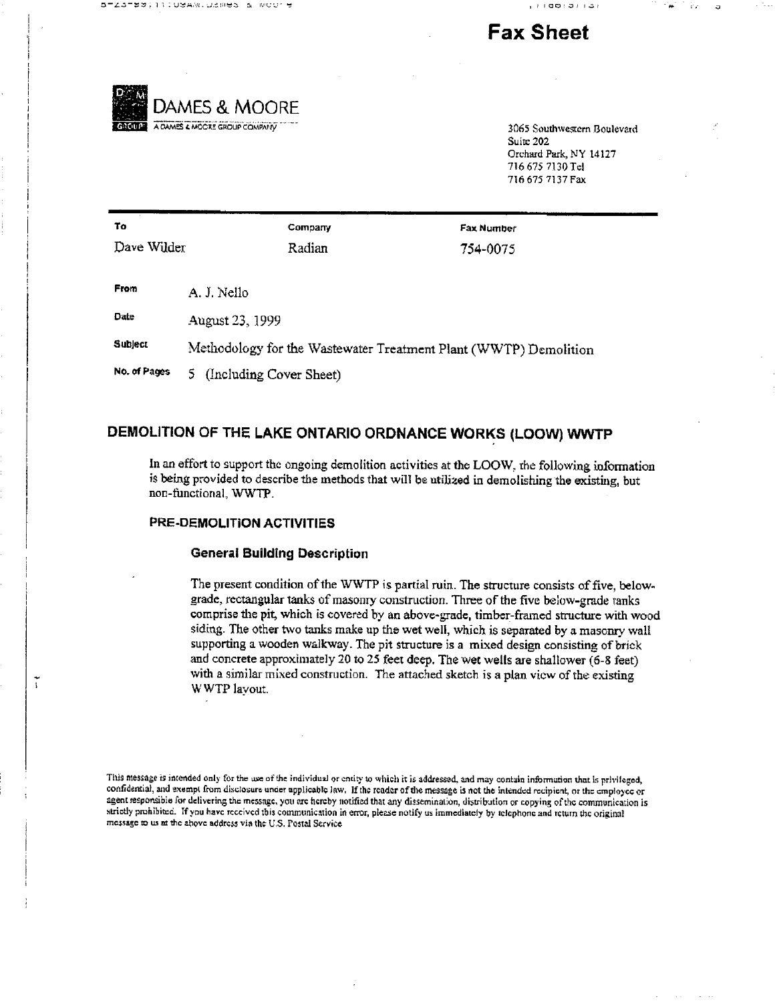

# Fax Sheet



Suite 202 Orchard Park, NY 14127 716575 7130 Tel 716675 7137 Fax

| To                             |                              | Company                                                          | <b>Fax Number</b> |  |  |
|--------------------------------|------------------------------|------------------------------------------------------------------|-------------------|--|--|
| Dave Wilder                    |                              | Radian                                                           | 754-0075          |  |  |
|                                |                              |                                                                  |                   |  |  |
| From<br>A. J. Nello            |                              |                                                                  |                   |  |  |
| <b>Date</b><br>August 23, 1999 |                              |                                                                  |                   |  |  |
| Subject                        |                              | Methodology for the Wastewater Treatment Plant (WWTP) Demolition |                   |  |  |
| No. of Pages                   | (Including Cover Sheet)<br>5 |                                                                  |                   |  |  |

# DEMOLITION OF THE LAKE ONTARIO ORDNANCE WORKS (LOOW) WWTP

In an effort to support the ongoing demolition activities at the LOOW, the following information is being provided to describe the methods that will be utilized in demolishing the existing, but non-functional, WWTP.

## PRE-DEMOLITION ACTIVITIES

 $\tilde{\cdot}$ 

#### General Building Description

The present condition of the WWTP is partial ruin. The structure consists of five, belowgrade, rectangular tanks of masonry construction. Three of the five below-grade tanks comprise the pit, which is covered by an above-grade, timber-framed structure with wood siding. The other two tanks make up the wet well, which is separated by a masonry wall supporting a wooden walkway. The pit structure is a mixed design consisting of brick and concrete approximately 20 to 25 feet deep. The wet wells are shallower (6-8 feet) with a similar mixed construction. The attached sketch is a plan view of the existing WWTP layout

This message is intended only for the use of the individual or entity to which it is addressed, and may contain information that is privileged, confidential, and exempt from disclosure under applicable law. If the reader of the message is not the intended recipient, or the employee or agent responsible for delivering the message, you are hereby notified that any dissemination, distribution or copying of the communication is strictly prohibited. If you have received this communication in error, please notify us immediately by telephone and return the original message us re the above address via the US Postal Service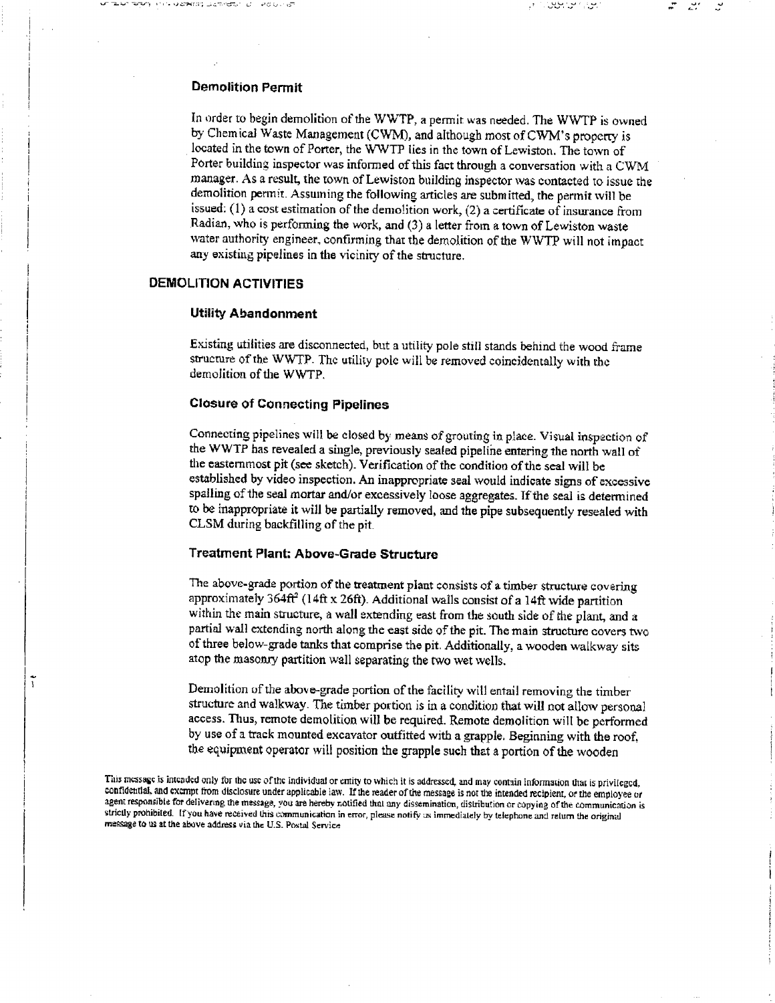## Demolition Permit

In order to begin demolition of the WWTP, a permit was needed. The WWTP is owned by Chemical Waste Management (CWM), and although most of CWM's property is located in the town of Porter, the WWTP lies in the town of Lewiston. The town of Porter building inspector was informed of this fact through a conversation with a CWM manager. As a result, the town of Lewiston building inspector was contacted to issue the demolition permit. Assuming the following articles are submitted, the permit will be issued: (1) a cost estimation of the demolition work, (2) a certificate of insurance from Radian, who is performing the work, and (3) a letter from a town of Lewiston waste water authority engineer, confirming that the demolition of the WWTP will not impact any existing pipelines in the vicinity of the structure.

שהו היה המונחה המונחה המונחה המונחה המונחה המונחה המונחה המונחה המונחה המונחה המונחה המונחה המונחה המונחה המונ<br>מערכת המונחה המונחה המונחה המונחה המונחה המונחה המונחה המונחה המונחה המונחה המונחה המונחה המונחה המונחה המונחה

# DEMOLITION ACTIVITIES

 $\tilde{1}$ 

## Utility Abandonment

Existing utilities are disconnected, but a utility pole still stands behind the wood frame structure of the WWTP. The utility pole will be removed coincidentally with the demolition of the WWTP

# Closure of Connecting Pipelines

Connecting pipelines will be closed by means of grouting in place Visual inspection of the WWTP has revealed a single, previously seated pipeline entering the north wall of the easternmost pit (see sketch). Verification of the condition of the seal will be established by video inspection. An inappropriate seal would indicate signs of excessive spalling of the seal mortar and/or excessively loose aggregates. If the seal is determined to be inappropriate it will be partially removed, and the pipe subsequently resealed with CLSM during backfilling of the pit

# Treatment Plant: Above-Grade Structure

The above-grade portion of the treatment plant consists of a timber structure covering approximately  $364ft^2$  (14ft x 26ft). Additional walls consist of a 14ft wide partition within the main structure, a wall extending east from the south side of the plant, and a partial wall extending north along the east side of the pit The main structure covers two of three below-grade tanks that comprise the pit. Additionally, a wooden walkway sits atop the masonry partition wall separating the two wet wells

Demolition of the above-grade portion of the facility will entail removing the timber structure and walkway. The timber portion is in a condition that will not allow personal access. Thus, remote demolition will be required. Remote demolition will be performed by use of a track mounted excavator outfitted with a grapple. Beginning with the roof. the equipment operator will position the grapple such that a portion of the wooden

This message is intended only for the use of the individual or entity to which it is addressed, and may contain information that is privileged. confidential, and exempt from disclosure under applicable law. If the reader of the message is not the intended recipient, or the employee or agent responsible for delivering the message, you are hereby notified that any dissemination, distribution or copying of the communication is strictly prohibited. If you have received this communication in error, please notify us immediately by telephone and return the original message to us at the above address via the U.S. Postal Service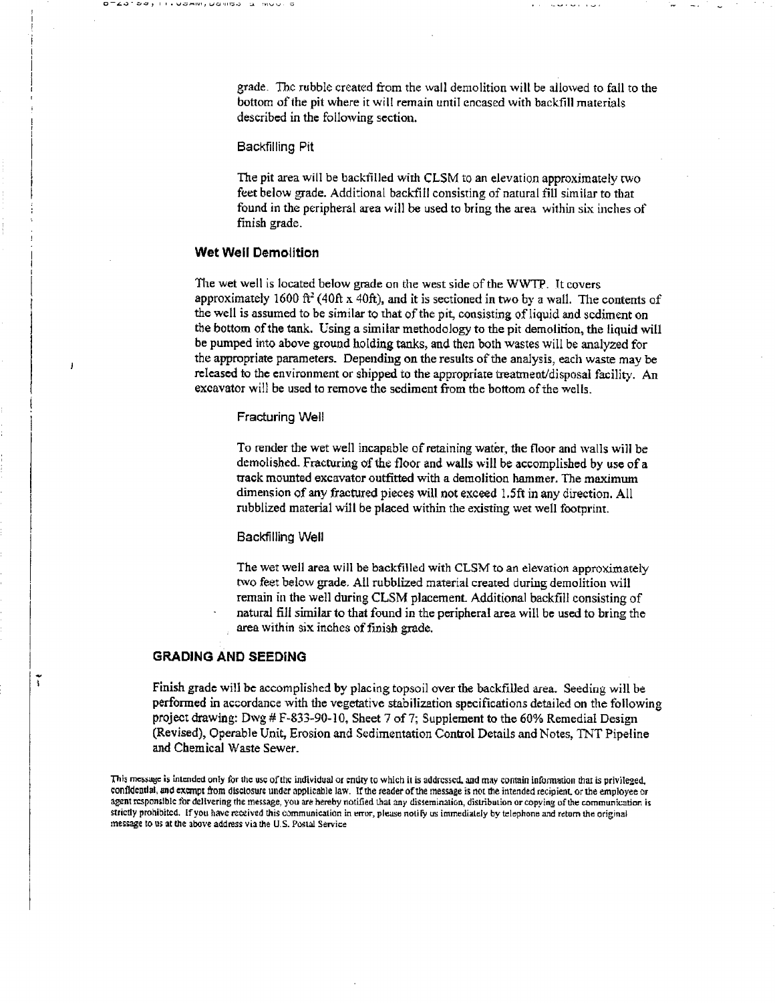grade. The rubble created from the wall demolition will be allowed to fall to the bottom of the pit where it will remain until encased with backfill materials described in the following section.

I.Wamiviyaa iyo iyo ahaa iyo ah iyo ah iyo ah iyo ah iyo ah iyo ah iyo ah iyo ah iyo ah iyo ah iyo ah iyo ah i<br>Inta

#### Backfilling Pit

The pit area will be backtilled with CLSM to an elevation approximately two feet below grade. Additional backfill consisting of natural fill similar to that found in the peripheral area will be used to bring the area within six inches of finish grade

#### Wet Well Demolition

 $\overline{1}$ 

ĩ

The wet well is located below grade on the west side of the WWTP. It covers approximately 1600 ft<sup>2</sup> (40ft x 40ft), and it is sectioned in two by a wall. The contents of the well is assumed to be similar to that of the pit, consisting of liquid and sediment on the bottom of the tank. Using a similar methodology to the pit demolition, the liquid will be pumped into above ground holding tanks, and then both wastes will be analyzed for the appropriate parameters. Depending on the results of the analysis, each waste may be released to the environment or shipped to the appropriate treatment/disposal facility. An excavator will be used to remove the sediment from the bottom of the wells

#### Fracturing Well

To render the wet well incapable of retaining water, the floor and walls will be demolished. Fracturing of the floor and walls will be accomplished by use of a track mounted excavator outfitted with a demolition hammer. The maximum dimension of any fractured pieces will not exceed l.5ft in any direction All rubblized material will be placed within the existing wet well footprint.

#### Backfilling Well

The wet well area will be backfilled with CLSM to an elevation approximately two feet below grade All rubblized material created during demolition will remain in the well during CLSM placement Additional backfill consisting of natural fill similar to that found in the peripheral area will be used to bring the area within six inches of finish grade

## GRADING AND SEEDING

Finish grade will be accomplished by placing topsoil over the backfilled area. Seeding will be performed in accordance with the vegetative stabilization specifications detailed on the following project drawing: Dwg # F-833-90-10, Sheet 7 of 7; Supplement to the 60% Remedial Design (Revised), Operable Unit, Erosion and Sedimentation Control Details and Notes, TNT Pipeline and Chemical Waste Sewer

This messuge is intended only for the use of the individual or entity to which it is addressed, and may contain information that is privileged, confidential, and exempt from disclosure under applicable law. If the reader of the message is not the intended recipient, or the employee or agent responsible for delivering the message, you are hereby notified that any dissemination, distribution or copying of the communication is strictly prohibited. If you have received this communication in error, please notify us immediately by telephone and return the original message to us at the above address via the U.S. Postal Service